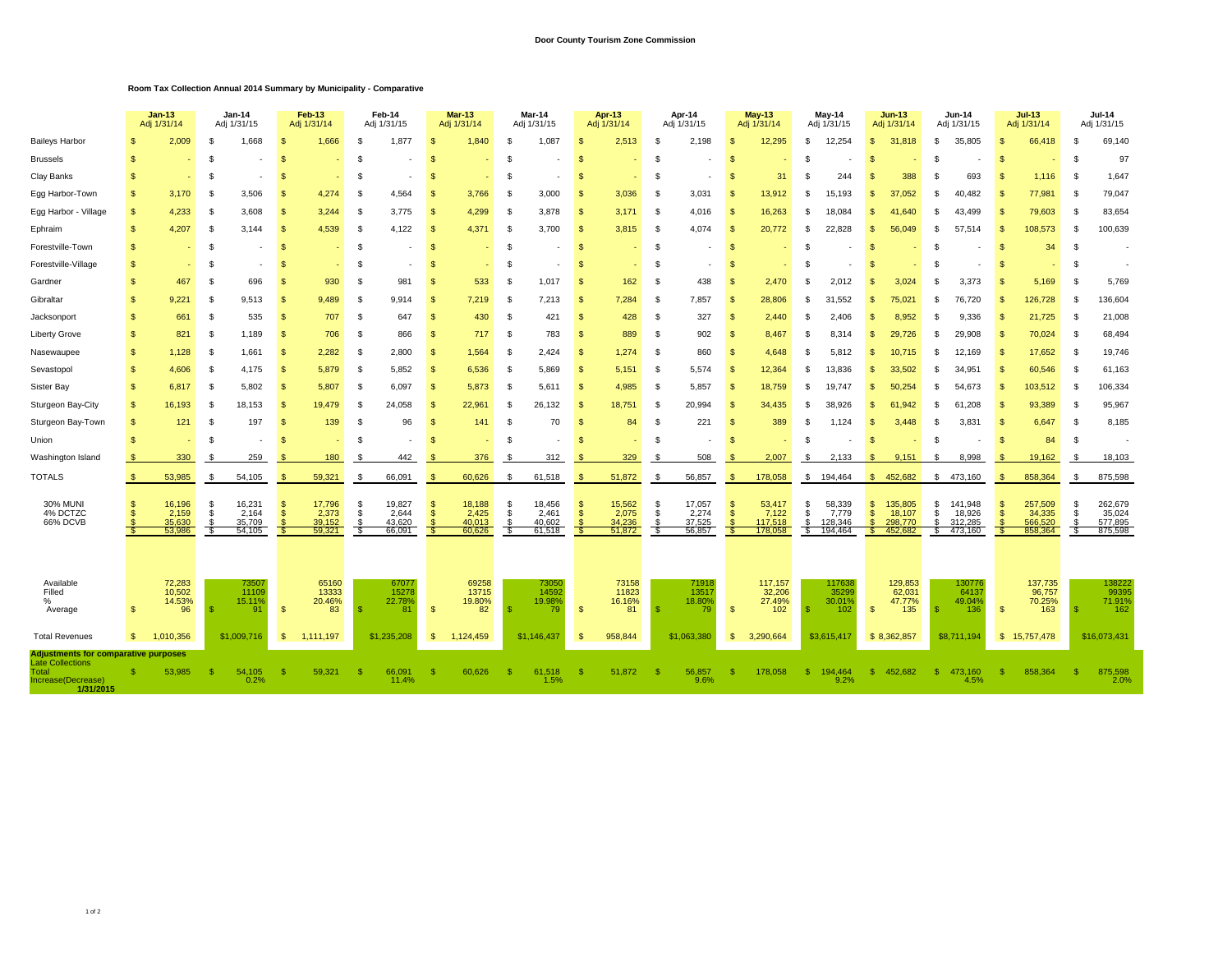## **Door County Tourism Zone Commission**

## **Room Tax Collection Annual 2014 Summary by Municipality - Comparative**

|                                                                                                                    |              | <b>Jan-13</b><br>Adj 1/31/14        |            | <b>Jan-14</b><br>Adj 1/31/15        |          | <b>Feb-13</b><br>Adj 1/31/14        |            | Feb-14<br>Adj 1/31/15               |                       | <b>Mar-13</b><br>Adj 1/31/14        |          | Mar-14<br>Adj 1/31/15               |              | <b>Apr-13</b><br>Adj 1/31/14        |             | Apr-14<br>Adj 1/31/15               |                      | <b>May-13</b><br>Adj 1/31/14          | May-14<br>Adj 1/31/15     |                                       |                                  | <b>Jun-13</b><br>Adj 1/31/14            |               | <b>Jun-14</b><br>Adj 1/31/15            |                       | <b>Jul-13</b><br>Adj 1/31/14            | <b>Jul-14</b><br>Adj 1/31/15 |                                         |
|--------------------------------------------------------------------------------------------------------------------|--------------|-------------------------------------|------------|-------------------------------------|----------|-------------------------------------|------------|-------------------------------------|-----------------------|-------------------------------------|----------|-------------------------------------|--------------|-------------------------------------|-------------|-------------------------------------|----------------------|---------------------------------------|---------------------------|---------------------------------------|----------------------------------|-----------------------------------------|---------------|-----------------------------------------|-----------------------|-----------------------------------------|------------------------------|-----------------------------------------|
| <b>Baileys Harbor</b>                                                                                              |              | 2,009                               |            | 1,668                               |          | 1,666                               | S.         | 1,877                               |                       | 1,840                               |          | 1,087                               |              | 2,513                               |             | 2,198                               | \$                   | 12,295                                | £.                        | 12,254                                | $\mathfrak{L}$                   | 31,818                                  | \$.           | 35,805                                  |                       | 66,418                                  | S                            | 69,140                                  |
| <b>Brussels</b>                                                                                                    | -S           |                                     | £.         |                                     | ŗ,       |                                     | £.         |                                     |                       |                                     | -S       |                                     |              |                                     | -\$         |                                     | $\mathfrak{s}$       |                                       |                           |                                       | \$.                              |                                         | S             |                                         | \$                    |                                         | \$                           | 97                                      |
| Clay Banks                                                                                                         | -S           |                                     | -S         |                                     | S        |                                     | S          |                                     |                       |                                     | -S       |                                     | S            |                                     | - \$        |                                     | - \$                 | 31                                    | S                         | 244                                   | \$.                              | 388                                     | S             | 693                                     | -S                    | 1.116                                   | -S                           | 1,647                                   |
| Egg Harbor-Town                                                                                                    | S.           | 3,170                               | -S         | 3,506                               | S        | 4,274                               | - \$       | 4,564                               | $\mathfrak{L}$        | 3,766                               | - \$     | 3,000                               | $\mathbf{s}$ | 3,036                               | \$          | 3,031                               | - \$                 | 13,912                                | -S                        | 15,193                                | \$.                              | 37,052                                  | S             | 40,482                                  | - \$                  | 77,981                                  | -S                           | 79,047                                  |
| Egg Harbor - Village                                                                                               | <b>S</b>     | 4,233                               | -S         | 3,608                               | S        | 3,244                               | - \$       | 3,775                               | $\mathfrak{F}$        | 4,299                               | -S       | 3,878                               | $\mathbf{s}$ | 3,171                               | \$          | 4,016                               | $\mathcal{S}$        | 16,263                                | S.                        | 18,084                                | \$.                              | 41.640                                  | £.            | 43.499                                  | - 96                  | 79,603                                  | S                            | 83,654                                  |
| Ephraim                                                                                                            | $\mathbf{s}$ | 4,207                               | - \$       | 3.144                               | \$       | 4,539                               | - \$       | 4,122                               | $\mathfrak{F}$        | 4,371                               | -S       | 3.700                               | $\mathbf{s}$ | 3,815                               | - \$        | 4,074                               | $\mathcal{F}$        | 20,772                                | - \$                      | 22,828                                | $\mathfrak{F}$                   | 56.049                                  | £.            | 57.514                                  | - 96                  | 108,573                                 | -S                           | 100,639                                 |
| Forestville-Town                                                                                                   | <b>S</b>     |                                     | -S         |                                     | S        |                                     | \$         |                                     | -S                    |                                     | S        |                                     | £.           |                                     | -S          |                                     | - \$                 |                                       | £                         |                                       | $\mathbf{s}$                     |                                         | S             |                                         | \$                    | 34                                      | -S                           |                                         |
| Forestville-Village                                                                                                | -S           |                                     | -S         |                                     | -S       | ٠                                   | - \$       |                                     | -S                    |                                     | -S       |                                     | S            |                                     | - \$        |                                     | - \$                 |                                       | -S                        |                                       | \$.                              |                                         | S             |                                         | -S                    | ٠                                       | S                            |                                         |
| Gardner                                                                                                            | S.           | 467                                 | -S         | 696                                 | S        | 930                                 | \$         | 981                                 | $\mathfrak{F}$        | 533                                 | \$       | 1,017                               | £.           | 162                                 | -S          | 438                                 | $\mathcal{F}$        | 2,470                                 | -9                        | 2,012                                 | \$.                              | 3,024                                   | S             | 3,373                                   |                       | 5,169                                   | S                            | 5,769                                   |
| Gibraltar                                                                                                          | $\mathbf{s}$ | 9,221                               | - \$       | 9.513                               | S        | 9,489                               | - \$       | 9.914                               | -96                   | 7,219                               | \$       | 7,213                               | -S           | 7,284                               | -S          | 7,857                               | $\mathcal{F}$        | 28,806                                | -9                        | 31,552                                | \$.                              | 75,021                                  | £.            | 76,720                                  |                       | 126,728                                 | S                            | 136,604                                 |
| Jacksonport                                                                                                        | <b>S</b>     | 661                                 | - \$       | 535                                 | S        | 707                                 | -\$        | 647                                 | $\mathfrak{F}$        | 430                                 | \$       | 421                                 | $\mathbf{s}$ | 428                                 | \$          | 327                                 | <b>S</b>             | 2,440                                 | -9                        | 2.406                                 | -S                               | 8.952                                   | S             | 9,336                                   | -\$                   | 21,725                                  | -S                           | 21,008                                  |
| Liberty Grove                                                                                                      | <b>S</b>     | 821                                 | -S         | 1.189                               | S        | 706                                 | - \$       | 866                                 | $\mathfrak{F}$        | 717                                 | -S       | 783                                 | - \$         | 889                                 | - \$        | 902                                 | <b>S</b>             | 8,467                                 | -9                        | 8.314                                 | -S                               | 29.726                                  | S             | 29.908                                  | -\$                   | 70,024                                  | -S                           | 68,494                                  |
| Nasewaupee                                                                                                         | \$           | 1,128                               | -S         | 1,661                               | S        | 2,282                               | -\$        | 2,800                               | -\$                   | 1,564                               | -S       | 2,424                               | -S           | 1,274                               | - \$        | 860                                 | - \$                 | 4,648                                 | -9                        | 5.812                                 | $\mathbf{s}$                     | 10.715                                  | S             | 12,169                                  | -\$                   | 17,652                                  | -S                           | 19,746                                  |
| Sevastopol                                                                                                         | \$           | 4,606                               | -S         | 4,175                               | S        | 5,879                               | - \$       | 5,852                               | -8                    | 6,536                               | \$       | 5,869                               | -S           | 5,151                               | -S          | 5,574                               | - \$                 | 12,364                                | - \$                      | 13,836                                | -\$                              | 33,502                                  | £.            | 34,951                                  | Я.                    | 60,546                                  | -S                           | 61,163                                  |
| Sister Bay                                                                                                         | \$           | 6,817                               | -S         | 5,802                               | S        | 5,807                               | - \$       | 6,097                               | -8                    | 5,873                               | - \$     | 5,611                               | - \$         | 4,985                               | -\$         | 5,857                               | - \$                 | 18,759                                | -S                        | 19,747                                | S.                               | 50,254                                  | -S            | 54,673                                  | - 95                  | 103,512                                 | -S                           | 106,334                                 |
| Sturgeon Bay-City                                                                                                  | \$           | 16,193                              | - \$       | 18,153                              | S        | 19,479                              | - \$       | 24,058                              | -8                    | 22,961                              | - \$     | 26,132                              | - \$         | 18,751                              | \$          | 20,994                              | - \$                 | 34,435                                | -9                        | 38,926                                | -S                               | 61.942                                  | £.            | 61,208                                  | -\$                   | 93,389                                  | -S                           | 95,967                                  |
| Sturgeon Bay-Town                                                                                                  | \$           | 121                                 | -S         | 197                                 | S        | 139                                 | - \$       | 96                                  | $\mathfrak{L}$        | 141                                 | \$       | 70                                  | $\mathbf{s}$ | 84                                  | \$          | 221                                 | $\mathcal{F}$        | 389                                   | £.                        | 1,124                                 | -\$                              | 3.448                                   | S             | 3,831                                   | $\mathfrak{L}$        | 6,647                                   | S                            | 8,185                                   |
| Union                                                                                                              | -S           |                                     | -S         |                                     | S        |                                     | - \$       |                                     |                       |                                     | -S       |                                     |              |                                     | - \$        |                                     | -S                   |                                       | -9                        |                                       | - \$                             |                                         | £.            |                                         | -\$                   | 84                                      | - \$                         |                                         |
| Washington Island                                                                                                  |              | 330                                 | - S        | 259                                 | -S       | 180                                 | - 33       | 442                                 |                       | 376                                 | - 5      | 312                                 | - S          | 329                                 | - \$        | 508                                 | -SS                  | 2,007                                 | - \$                      | 2,133                                 | - \$                             | 9,151                                   | S             | 8,998                                   | - \$                  | 19,162                                  | - \$                         | 18,103                                  |
| <b>TOTALS</b>                                                                                                      | -S           | 53,985                              |            | 54,105                              | <b>S</b> | 59,321                              |            | 66,091                              | $\mathcal{R}$         | 60,626                              |          | 61,518                              |              | 51,872                              |             | 56,857                              |                      | 178,058                               | \$                        | 194,464                               | \$                               | 452,682                                 | \$            | 473,160                                 | - \$                  | 858,364                                 | -S                           | 875,598                                 |
| <b>30% MUNI</b><br>4% DCTZC<br>66% DCVB                                                                            | -S           | 16,196<br>2,159<br>35.630<br>53,986 | - \$<br>S. | 16,231<br>2,164<br>35.709<br>54,105 | S<br>\$  | 17,796<br>2,373<br>39,152<br>59,321 | - \$<br>\$ | 19,827<br>2,644<br>43,620<br>66,091 | -96<br>$\mathfrak{L}$ | 18,188<br>2,425<br>40.013<br>60,626 | -S<br>\$ | 18,456<br>2,461<br>40.602<br>61,518 | £.<br>\$     | 15,562<br>2,075<br>34,236<br>51,872 | - \$<br>-\$ | 17,057<br>2,274<br>37,525<br>56,857 | -SS<br>$\mathcal{F}$ | 53,417<br>7,122<br>117.518<br>178,058 | \$<br>\$<br>$\mathcal{L}$ | 58,339<br>7,779<br>128.346<br>194,464 | $\mathfrak{s}$<br>$\mathfrak{s}$ | 135,805<br>18,107<br>298,770<br>452,682 | \$<br>\$<br>ፍ | 141,948<br>18,926<br>312.285<br>473,160 | \$.<br>$\mathfrak{L}$ | 257,509<br>34,335<br>566.520<br>858,364 | -S<br>\$                     | 262,679<br>35,024<br>577,895<br>875,598 |
| Available<br>Filled<br>%<br>Average                                                                                | $\mathbf{s}$ | 72,283<br>10,502<br>14.53%<br>96    |            | 73507<br>11109<br>15.11%<br>91      | <b>S</b> | 65160<br>13333<br>20.46%<br>83      |            | 67077<br>15278<br>22.78%<br>81      | $\mathfrak{F}$        | 69258<br>13715<br>19.80%<br>82      |          | 73050<br>14592<br>19.98%<br>79      | $\mathbf{s}$ | 73158<br>11823<br>16.16%<br>81      | - \$        | 7191<br>1351<br>18.80%<br>79        | $\mathbf{s}$         | 117,157<br>32,206<br>27.49%<br>102    |                           | 117638<br>35299<br>30.01%<br>102      | $\mathfrak{L}$                   | 129,853<br>62,031<br>47.77%<br>135      | -S            | 130776<br>64137<br>49.04%<br>136        | - \$                  | 137,735<br>96,757<br>70.25%<br>163      | S.                           | 138222<br>99395<br>71.91%<br>162        |
| <b>Total Revenues</b>                                                                                              | s.           | 1.010.356                           |            | \$1,009,716                         | <b>S</b> | 1,111,197                           |            | \$1,235,208                         | \$                    | 1,124,459                           |          | \$1,146,437                         | -S           | 958,844                             |             | \$1.063.380                         | $\mathfrak{s}$       | 3,290,664                             |                           | \$3,615,417                           |                                  | \$8,362,857                             |               | \$8,711,194                             |                       | \$15,757,478                            |                              | \$16,073,431                            |
| <b>Adjustments for comparative purposes</b><br><b>Late Collections</b><br>Total<br>Increase(Decrease)<br>1/31/2015 |              | 53,985                              |            | 54,105<br>0.2%                      |          | 59,321                              |            | 66,091<br>11.4%                     |                       | 60,626                              |          | 61,518<br>1.5%                      | -S           | 51,872                              |             | 56,857<br>9.6%                      | -\$                  | 178,058                               | -S                        | 194,464<br>9.2%                       | -S                               | 452,682                                 | -S            | 473,160<br>4.5%                         | -\$                   | 858,364                                 | -S                           | 875,598<br>2.0%                         |